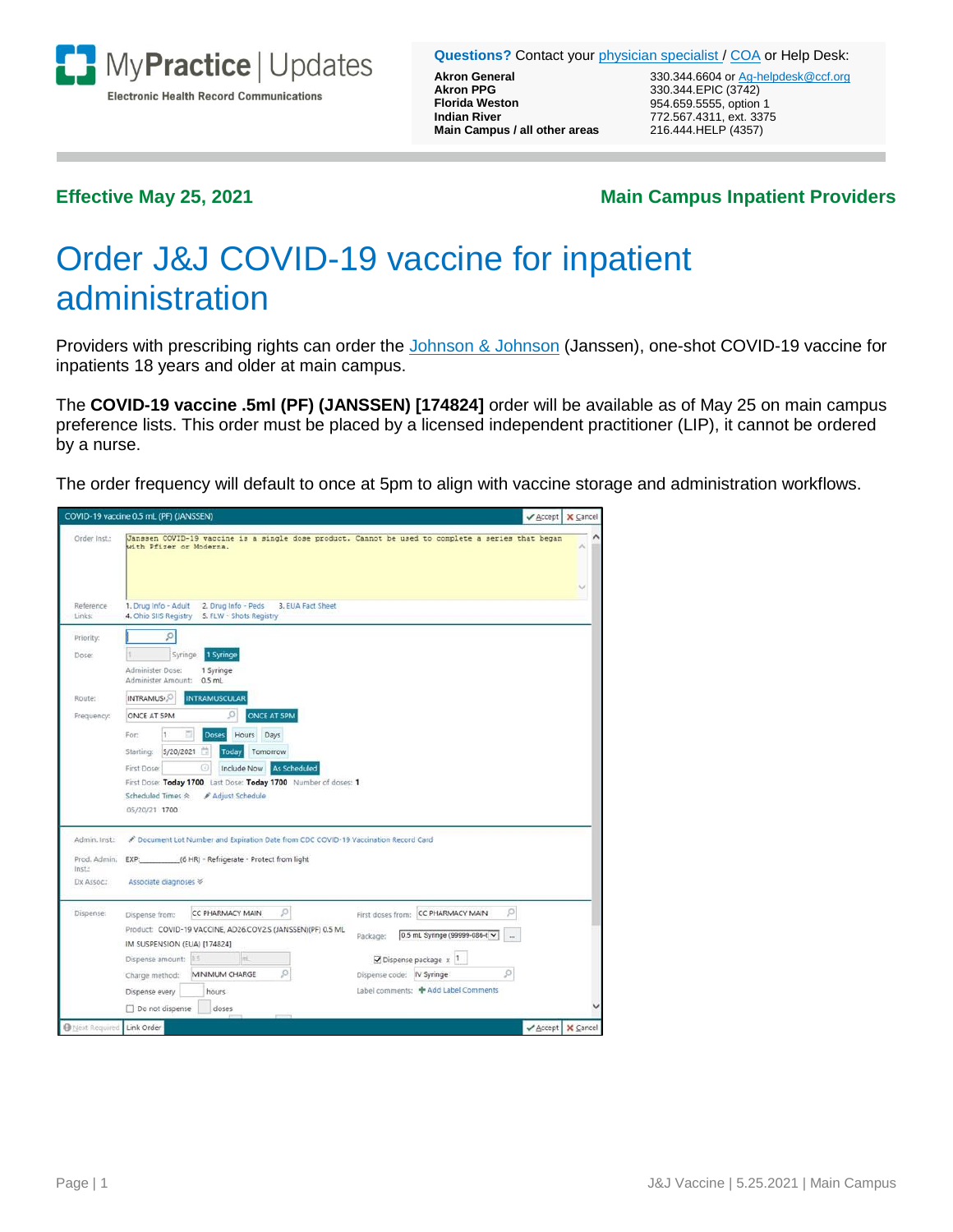

**Questions?** Contact you[r physician specialist](https://ccf.jiveon.com/docs/DOC-7868#specialist) / [COA](https://ccf.jiveon.com/docs/DOC-7868#analyst) or Help Desk:

**Akron PPG** 330.344.EPIC (3742)<br>**Florida Weston** 354.659.5555, option **Florida Weston** 954.659.5555, option 1 **Main Campus / all other areas** 216.444.HELP (4357)

**Akron General 1200 Communist Communist Communist Communist Communist Communist Communist Communist Communist Communist Communist Communist Communist Communist Communist Communist Communist Communist Communist Communist Co Indian River** 772.567.4311, ext. 3375

## **Effective May 25, 2021 Main Campus Inpatient Providers**

# Order J&J COVID-19 vaccine for inpatient administration

Providers with prescribing rights can order the [Johnson & Johnson](https://www.fda.gov/media/146305/download) (Janssen), one-shot COVID-19 vaccine for inpatients 18 years and older at main campus.

The **COVID-19 vaccine .5ml (PF) (JANSSEN) [174824]** order will be available as of May 25 on main campus preference lists. This order must be placed by a licensed independent practitioner (LIP), it cannot be ordered by a nurse.

The order frequency will default to once at 5pm to align with vaccine storage and administration workflows.

|                        | COVID-19 vaccine 0.5 mL (PF) (JANSSEN)                                                                                       | ✔ Accept   X Cancel |  |
|------------------------|------------------------------------------------------------------------------------------------------------------------------|---------------------|--|
| Order Inst.:           | Janssen COVID-19 vaccine is a single dose product. Cannot be used to complete a series that began<br>with Pfizer or Moderna. |                     |  |
| Reference<br>Links:    | 1. Drug Info - Adult 2. Drug Info - Peds<br>3. EUA Fact Sheet<br>4. Ohio SIIS Registry 5. FLW - Shots Registry               |                     |  |
| Priority:              | Q                                                                                                                            |                     |  |
| Dose:                  | 1 Syringe<br>Syringe                                                                                                         |                     |  |
|                        | Administer Dose:<br>1 Syringe<br>Administer Amount: 0.5 mL                                                                   |                     |  |
| Route:                 | INTRAMUS <sub>1.</sub> O<br><b>INTRAMUSCULAR</b>                                                                             |                     |  |
| Frequency:             | ONCE AT SPM<br>Ω<br>ONCE AT 5PM                                                                                              |                     |  |
|                        | Hours Days<br><b>Doses</b><br>For:                                                                                           |                     |  |
|                        | 曲<br>5/20/2021<br>Today<br>Tomorrow<br>Starting:                                                                             |                     |  |
|                        | ⊙<br><b>As Scheduled</b><br>First Dose:<br>Include Now                                                                       |                     |  |
|                        | First Dose: Today 1700 Last Dose: Today 1700 Number of doses: 1                                                              |                     |  |
|                        | Scheduled Times R / Adjust Schedule                                                                                          |                     |  |
|                        | 05/20/21 1700                                                                                                                |                     |  |
| Admin, Inst.:          | Document Lot Number and Expiration Date from CDC COVID-19 Vaccination Record Card                                            |                     |  |
| Prod. Admin.           | (6 HR) - Refrigerate - Protect from light<br>EXP:                                                                            |                     |  |
| Inst.<br>Dx Assoc.:    | Associate diagnoses ≥                                                                                                        |                     |  |
|                        |                                                                                                                              |                     |  |
| Dispense:              | Q<br>o<br>CC PHARMACY MAIN<br>First doses from: CC PHARMACY MAIN<br>Dispense from:                                           |                     |  |
|                        | Product: COVID-19 VACCINE, AD26.COV2.S (JANSSEN)(PF) 0.5 ML<br>0.5 mL Syringe (99999-086-6 V<br>Package:<br>$\sim$           |                     |  |
|                        | IM SUSPENSION (EUA) [174824]                                                                                                 |                     |  |
|                        | m.<br>Dispense amount:<br>8.5<br>$\Box$ Dispense package $\times$ 1                                                          |                     |  |
|                        | ø<br>ø<br>MINIMUM CHARGE<br>Dispense code: IV Syringe<br>Charge method:                                                      |                     |  |
|                        | Label comments: + Add Label Comments<br>Dispense every<br>hours                                                              |                     |  |
|                        | Do not dispense<br>doses                                                                                                     |                     |  |
| <b>O</b> Next Required | Link Order                                                                                                                   | ✔ Accept   X Cancel |  |